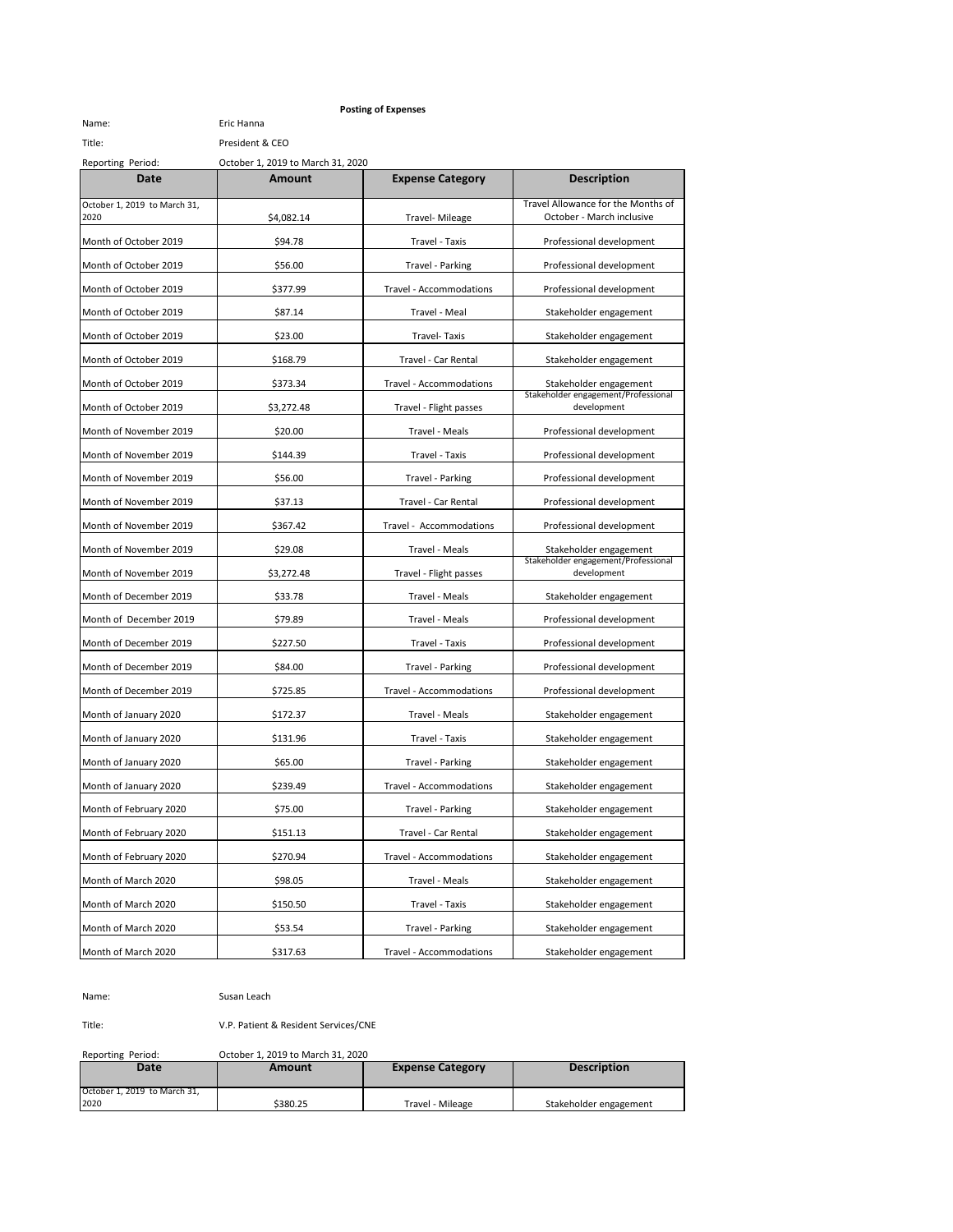## **Posting of Expenses**

Name: Eric Hanna Title: President & CEO

Reporting Period: October 1, 2019 to March 31, 2020

| פייי<br>Date                         | Amount     | <b>Expense Category</b> | <b>Description</b>                                              |
|--------------------------------------|------------|-------------------------|-----------------------------------------------------------------|
| October 1, 2019 to March 31,<br>2020 | \$4,082.14 | Travel- Mileage         | Travel Allowance for the Months of<br>October - March inclusive |
| Month of October 2019                | \$94.78    | Travel - Taxis          | Professional development                                        |
| Month of October 2019                | \$56.00    | Travel - Parking        | Professional development                                        |
| Month of October 2019                | \$377.99   | Travel - Accommodations | Professional development                                        |
| Month of October 2019                | \$87.14    | Travel - Meal           | Stakeholder engagement                                          |
| Month of October 2019                | \$23.00    | Travel-Taxis            | Stakeholder engagement                                          |
| Month of October 2019                | \$168.79   | Travel - Car Rental     | Stakeholder engagement                                          |
| Month of October 2019                | \$373.34   | Travel - Accommodations | Stakeholder engagement                                          |
| Month of October 2019                | \$3,272.48 | Travel - Flight passes  | Stakeholder engagement/Professional<br>development              |
| Month of November 2019               | \$20.00    | Travel - Meals          | Professional development                                        |
| Month of November 2019               | \$144.39   | Travel - Taxis          | Professional development                                        |
| Month of November 2019               | \$56.00    | Travel - Parking        | Professional development                                        |
| Month of November 2019               | \$37.13    | Travel - Car Rental     | Professional development                                        |
| Month of November 2019               | \$367.42   | Travel - Accommodations | Professional development                                        |
| Month of November 2019               | \$29.08    | Travel - Meals          | Stakeholder engagement                                          |
| Month of November 2019               | \$3,272.48 | Travel - Flight passes  | Stakeholder engagement/Professional<br>development              |
| Month of December 2019               | \$33.78    | Travel - Meals          | Stakeholder engagement                                          |
| Month of December 2019               | \$79.89    | Travel - Meals          | Professional development                                        |
| Month of December 2019               | \$227.50   | Travel - Taxis          | Professional development                                        |
| Month of December 2019               | \$84.00    | Travel - Parking        | Professional development                                        |
| Month of December 2019               | \$725.85   | Travel - Accommodations | Professional development                                        |
| Month of January 2020                | \$172.37   | Travel - Meals          | Stakeholder engagement                                          |
| Month of January 2020                | \$131.96   | Travel - Taxis          | Stakeholder engagement                                          |
| Month of January 2020                | \$65.00    | Travel - Parking        | Stakeholder engagement                                          |
| Month of January 2020                | \$239.49   | Travel - Accommodations | Stakeholder engagement                                          |
| Month of February 2020               | \$75.00    | Travel - Parking        | Stakeholder engagement                                          |
| Month of February 2020               | \$151.13   | Travel - Car Rental     | Stakeholder engagement                                          |
| Month of February 2020               | \$270.94   | Travel - Accommodations | Stakeholder engagement                                          |
| Month of March 2020                  | \$98.05    | Travel - Meals          | Stakeholder engagement                                          |
| Month of March 2020                  | \$150.50   | Travel - Taxis          | Stakeholder engagement                                          |
| Month of March 2020                  | \$53.54    | Travel - Parking        | Stakeholder engagement                                          |
| Month of March 2020                  | \$317.63   | Travel - Accommodations | Stakeholder engagement                                          |

Name: Susan Leach

Title: V.P. Patient & Resident Services/CNE

Reporting Period: October 1, 2019 to March 31, 2020

| Date                         | Amount   | <b>Expense Category</b> | <b>Description</b>     |
|------------------------------|----------|-------------------------|------------------------|
| October 1, 2019 to March 31. |          |                         |                        |
| 2020                         | \$380.25 | Travel - Mileage        | Stakeholder engagement |